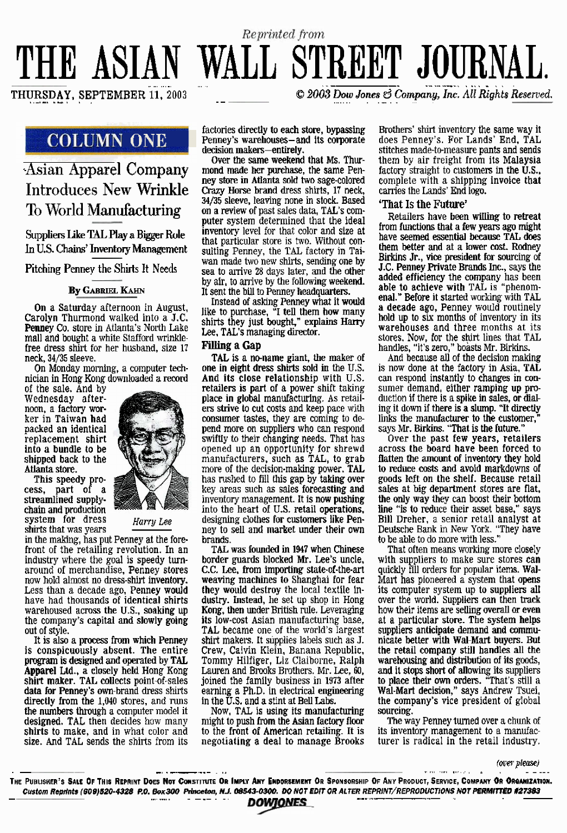# THE ASIAN WALL STREET JOURNAL.

# Asian **Apparel Company Introduces New Wrinkle**  To World Manufacturing

**Suppliers Like TAL Play a Bigger Role**  In **U.S. Chains'** Inventov **Management** 

**Pitching Penney the Shirts It Needs** 

# **By GABRIEL KAHN**

**On** a Saturday afternoon in August, Carolyn Thurmond walked into a **J.C. Penney Co,** store in Atlanta's North Lake mall and bought a white Stafford wrinklefree dress shirt for her husband, size 17 neck, 34/35 sleeve.

On Monday morning, a computer technician in Hone KOIK downloaded a **record** 

of the sale. **And** by **Wednesday after**noon, **a** factory **wor**ker in Taiwan **had**  packed an identical replacement shirt **into a bundle to be shipped** back to the **Atlanta store.** 

This speedy pro**cess,** part of a **streamlined supply**chain **and** production **system for dress** *<i>Harry Lee* shirts that was years



in the making, has put Penney at the forefront of the retailing revolution. In an industry where the goal is **speedy** turnaround of merchandise, Penney stores now hold almost no dress-shirt **inventory.**  Less than a decade ago, Penney **would**  have had thousands **of identical** shirts warehoused across the U.S., soaking up the company's capital and slowly going

out of style.<br>It is also a process from which Penney It **is also** a **process from which Penney** is conspicuoudy **absent. The** entire program is designed and operated by TAL **Appaml Ltd., a** closely **held Hong Kong shirt maker. TAL** collects point-of-sales **data for Penney's own-brand** dress **shirts directly from the 1,040** stores, **and** runs the **numbers** through a computer model it **designed. TAL** then decides how **many shirts to** make, and in what color and **size.** And TAL **sends** the shirts from its  $\odot$  2003 Dow Jones  $\odot$  Company, Inc. All Rights Reserved.

**COLUMN ONE leaders** butculy to each state, bypassing<br>decision makers-entirely. factories directly to each **store,** bypassing

Reprinted from

**Permit makers-** *company* **company contribution** makersmond made her purchase, the same Pen-<br>ney store in Atlanta sold two sage-colored  $C$ razy Horse brand dress shirts, 17 neck, 34/35 sleeve, **leaving** none in **stock.** Based on a **review** of past sales data, **TAL's** com**puter** system determined that **the** ideal inventory level for that color and size at that particular store is two. Without consuiting Penney, the **TAL** factory in Taiwan made two new shirts, sending one by sea to arrive **28** days later, **and the other**  by air, to **arrive** by the following **weekend.**  It sent the bill to Penney headquarters.

Instead **of** askmg **Penney what** it **would**  like to purchase, "I **tell them how many** shirts they just bought" **explains Harry**  Lee, TAL's managing director.

## **Filling a Gap**

**TAL is a nename** giant, the **maker** of one in **eight drew, shirts sold in the U.S. And its** close **relationship** with U.S. **retailers** is **part of** a **power** shift taking place in **global** rnanulacturing. **As** retailers strive to cut costs and keep pace with **consumer** tastes, they are coming to de**pend more** on suppliers who can respond swiftly to their changing **needs.** That has opened up an opportunity for shrewd manufacturers, such as TAL, to grab more of the decision-making power. **TAL**  has rushed **to** fill this gap by **taking** over key areas such **as** sales **forecasting and**  into the heart of U.S. retail operations, desigmg clothes **for customers like Pen**ney **to sell and market under their own brands.** 

**TAL** was founded in 1947 **when** Chinese **border guards blocked** Mr. **Lee's** uncle, C.C. Lee, from importing state-of-the-art **weaving machines** to **Shanghai** lor fear **they** wouId destroy the local textile in**dustry. Instead, he set** up shop in Hong **its low-cost Asian manufacturing base. TAL became one of the world's largest** shirt makers. It supplies labels such as J. **Crew,** Calvin Klein, Banana Republic, Tommy Hilfiger, Liz Claiborne, Ralph **Lauren** and **Brwks** Brothers. **Mr.** Lee, 60, joined the family business in 1973 after earning a Ph.D. in electrical engineering in the **U.S.** and a stint at **Bell Labs.** 

Now, TAZ, is **using** its **manufacturing**  might to push from the Asian factory floor to the front **ol** American retailing. **It** is **negotiating** a **deal to manage** Brooks

Brothers' shirt inventory the **same way it does** Penney's. **For** Lands' **End, TAL**  stitches made-to-measure pants and **sends**  factory straight to customers in the U.S., complete with a shipping invoice **that**  carries the Lands' **End** logo.

# **'That Is the** Future'

Retailers have been willing to retreat from functions that a few years ago might have seemed essential because TAL does<br>
them better and at a lower cost. Rodney Birkins Jr., vice president for sourcing of **J.C. Penney Private Brands Inc.,** says **the**  added efficiency the **company** has been **able** to **achieve** with TAL is "phenom **enal." &fore it started** working **with** TAL <sup>a</sup>**decade** ago, Penney would routinely hold up to six **months** of inventory in its warehouses and three months at its stores. Now, for the **shirt** lines that TAL handles, "it's zero," boasts Mr. Birkins.<br>And because all of the decision making

is now done at the factory in Asia, TAL can respond instantly to changes **in** conduction if there is a spike in sales, or dialing it down if there is a **slump.** "It **directly**  links the **manufacturer** to **the** customer," says Mr. Birkins. "That is the future."

**Over** the past **few years, retailers**  across **the** board have been forced to **flatten** the **amount of** inventory they hold to **reduce costs** and **avoid** markdowns of **goods left** on the shelf. Because retail **sdes** at big **department** stores are flat, the only **way they** can **boost** their bottom **he** "is to reduce their asset base," says Bill Dreher, a senior retail analyst at Deutsche Bank in New York. "They have to be able to do more with less."

That often means working more closely with suppliers to make sure stores **can**  quickly fill orders for popular items. **Wal**its computer system up to suppliers all over the world. Suppliers can then track how their **items are selling** *overall* or **even**  suppliers anticipate demand and commu**nicate htter with Wd-Mart buyers. But the** retail **company still handIes** all the **warehousing** and **distribution** of **its** goods, **and** it **stops short** of **allowing** its suppliers to **place** their own **orders.** "That's still a Wal-Mart decision," says Andrew Tsuei, the **company's** vice president of global **sourcing.** 

**The way** Penney turned over a chunk of its inventory management to a manufacturer is radical in the retail industry.

fa:W *p1ea.W* . - -, . --- . .. . , , , , , . , . , , , , , , . - -.-. **THE PUBU~HER'S SALE OF THIS REPRINT DOES Nm CWSTI~ ORIMPLY ANY En~wc~mern OR SPONSORSHIP OF ANY PRODUCT, SERVICE, COMPMY OR ORBANIZA~W~.**  Custom Reprints (609)520-4328 P.O. Box 300 Princeton, N.J. 08543-0300. DO NOT EDIT OR ALTER REPRINT/REPRODUCTIONS NOT PERMITTED #27383<br> **Custom Reprints (609)520-4328 P.O. Box 300 Princeton, N.J. 08543-0300. DO NOT EDIT OR**